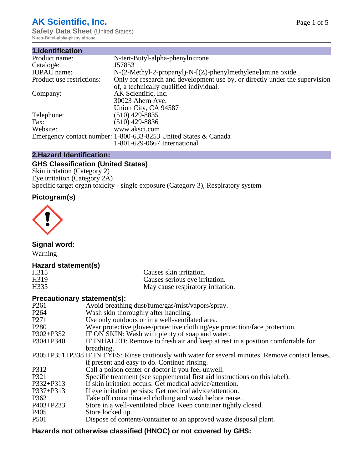# **AK Scientific, Inc.**

**Safety Data Sheet (United States)** N-tert-Butyl-alpha-phenylnitrone

| 1.Identification          |                                                                             |
|---------------------------|-----------------------------------------------------------------------------|
| Product name:             | N-tert-Butyl-alpha-phenylnitrone                                            |
| Catalog#:                 | J57853                                                                      |
| <b>IUPAC</b> name:        | $N-(2-Methyl-2-propanyl)-N-[(Z)-phenylmethylene] amine oxide$               |
| Product use restrictions: | Only for research and development use by, or directly under the supervision |
|                           | of, a technically qualified individual.                                     |
| Company:                  | AK Scientific, Inc.                                                         |
|                           | 30023 Ahern Ave.                                                            |
|                           | Union City, CA 94587                                                        |
| Telephone:                | $(510)$ 429-8835                                                            |
| Fax:                      | $(510)$ 429-8836                                                            |
| Website:                  | www.aksci.com                                                               |
|                           | Emergency contact number: 1-800-633-8253 United States & Canada             |
|                           | 1-801-629-0667 International                                                |

# **2.Hazard Identification:**

# **GHS Classification (United States)**

Skin irritation (Category 2) Eye irritation (Category 2A) Specific target organ toxicity - single exposure (Category 3), Respiratory system

# **Pictogram(s)**



**Signal word:**

Warning

# **Hazard statement(s)**

| H <sub>315</sub>  | Causes skin irritation.           |
|-------------------|-----------------------------------|
| H <sub>3</sub> 19 | Causes serious eye irritation.    |
| H335              | May cause respiratory irritation. |

#### **Precautionary statement(s):**

| P <sub>261</sub> | Avoid breathing dust/fume/gas/mist/vapors/spray.                                                   |
|------------------|----------------------------------------------------------------------------------------------------|
| P <sub>264</sub> | Wash skin thoroughly after handling.                                                               |
| P <sub>271</sub> | Use only outdoors or in a well-ventilated area.                                                    |
| P <sub>280</sub> | Wear protective gloves/protective clothing/eye protection/face protection.                         |
| P302+P352        | IF ON SKIN: Wash with plenty of soap and water.                                                    |
| $P304 + P340$    | IF INHALED: Remove to fresh air and keep at rest in a position comfortable for                     |
|                  | breathing.                                                                                         |
|                  | P305+P351+P338 IF IN EYES: Rinse cautiously with water for several minutes. Remove contact lenses, |
|                  | if present and easy to do. Continue rinsing.                                                       |
| P312             | Call a poison center or doctor if you feel unwell.                                                 |
| P321             | Specific treatment (see supplemental first aid instructions on this label).                        |
| P332+P313        | If skin irritation occurs: Get medical advice/attention.                                           |
| P337+P313        | If eye irritation persists: Get medical advice/attention.                                          |
| P362             | Take off contaminated clothing and wash before reuse.                                              |
| $P403 + P233$    | Store in a well-ventilated place. Keep container tightly closed.                                   |
| P <sub>405</sub> | Store locked up.                                                                                   |
| P <sub>501</sub> | Dispose of contents/container to an approved waste disposal plant.                                 |
|                  |                                                                                                    |

# **Hazards not otherwise classified (HNOC) or not covered by GHS:**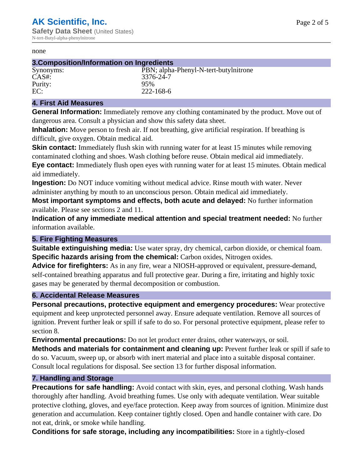#### none

#### **3.Composition/Information on Ingredients**

# Purity: 95%<br>EC: 222-

Synonyms: PBN; alpha-Phenyl-N-tert-butylnitrone CAS#: 3376-24-7 EC: 222-168-6

#### **4. First Aid Measures**

**General Information:** Immediately remove any clothing contaminated by the product. Move out of dangerous area. Consult a physician and show this safety data sheet.

**Inhalation:** Move person to fresh air. If not breathing, give artificial respiration. If breathing is difficult, give oxygen. Obtain medical aid.

**Skin contact:** Immediately flush skin with running water for at least 15 minutes while removing contaminated clothing and shoes. Wash clothing before reuse. Obtain medical aid immediately. **Eye contact:** Immediately flush open eyes with running water for at least 15 minutes. Obtain medical aid immediately.

**Ingestion:** Do NOT induce vomiting without medical advice. Rinse mouth with water. Never administer anything by mouth to an unconscious person. Obtain medical aid immediately.

**Most important symptoms and effects, both acute and delayed:** No further information available. Please see sections 2 and 11.

**Indication of any immediate medical attention and special treatment needed:** No further information available.

#### **5. Fire Fighting Measures**

**Suitable extinguishing media:** Use water spray, dry chemical, carbon dioxide, or chemical foam. **Specific hazards arising from the chemical:** Carbon oxides, Nitrogen oxides.

**Advice for firefighters:** As in any fire, wear a NIOSH-approved or equivalent, pressure-demand, self-contained breathing apparatus and full protective gear. During a fire, irritating and highly toxic gases may be generated by thermal decomposition or combustion.

#### **6. Accidental Release Measures**

**Personal precautions, protective equipment and emergency procedures:** Wear protective equipment and keep unprotected personnel away. Ensure adequate ventilation. Remove all sources of ignition. Prevent further leak or spill if safe to do so. For personal protective equipment, please refer to section 8.

**Environmental precautions:** Do not let product enter drains, other waterways, or soil.

**Methods and materials for containment and cleaning up:** Prevent further leak or spill if safe to do so. Vacuum, sweep up, or absorb with inert material and place into a suitable disposal container. Consult local regulations for disposal. See section 13 for further disposal information.

#### **7. Handling and Storage**

**Precautions for safe handling:** Avoid contact with skin, eyes, and personal clothing. Wash hands thoroughly after handling. Avoid breathing fumes. Use only with adequate ventilation. Wear suitable protective clothing, gloves, and eye/face protection. Keep away from sources of ignition. Minimize dust generation and accumulation. Keep container tightly closed. Open and handle container with care. Do not eat, drink, or smoke while handling.

**Conditions for safe storage, including any incompatibilities:** Store in a tightly-closed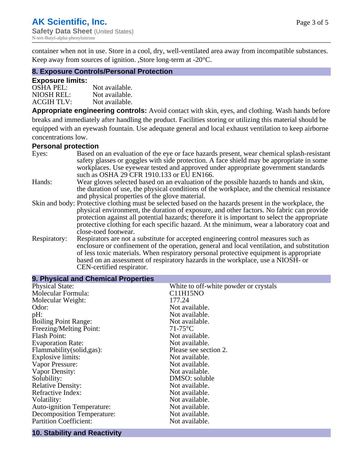container when not in use. Store in a cool, dry, well-ventilated area away from incompatible substances. Keep away from sources of ignition. ,Store long-term at -20°C.

#### **8. Exposure Controls/Personal Protection**

#### **Exposure limits:**

| <b>OSHA PEL:</b>  | Not available. |
|-------------------|----------------|
| NIOSH REL:        | Not available. |
| <b>ACGIH TLV:</b> | Not available. |

**Appropriate engineering controls:** Avoid contact with skin, eyes, and clothing. Wash hands before breaks and immediately after handling the product. Facilities storing or utilizing this material should be equipped with an eyewash fountain. Use adequate general and local exhaust ventilation to keep airborne concentrations low.

#### **Personal protection**

| Eyes:        | Based on an evaluation of the eye or face hazards present, wear chemical splash-resistant<br>safety glasses or goggles with side protection. A face shield may be appropriate in some |  |  |
|--------------|---------------------------------------------------------------------------------------------------------------------------------------------------------------------------------------|--|--|
|              | workplaces. Use eyewear tested and approved under appropriate government standards<br>such as OSHA 29 CFR 1910.133 or EU EN166.                                                       |  |  |
| Hands:       | Wear gloves selected based on an evaluation of the possible hazards to hands and skin,                                                                                                |  |  |
|              | the duration of use, the physical conditions of the workplace, and the chemical resistance                                                                                            |  |  |
|              | and physical properties of the glove material.                                                                                                                                        |  |  |
|              | Skin and body: Protective clothing must be selected based on the hazards present in the workplace, the                                                                                |  |  |
|              | physical environment, the duration of exposure, and other factors. No fabric can provide                                                                                              |  |  |
|              | protection against all potential hazards; therefore it is important to select the appropriate                                                                                         |  |  |
|              | protective clothing for each specific hazard. At the minimum, wear a laboratory coat and                                                                                              |  |  |
|              | close-toed footwear.                                                                                                                                                                  |  |  |
| Respiratory: | Respirators are not a substitute for accepted engineering control measures such as<br>enclosure or confinement of the operation, general and local ventilation, and substitution      |  |  |
|              | of less toxic materials. When respiratory personal protective equipment is appropriate                                                                                                |  |  |
|              | based on an assessment of respiratory hazards in the workplace, use a NIOSH- or                                                                                                       |  |  |
|              | CEN-certified respirator.                                                                                                                                                             |  |  |

| 9. Physical and Chemical Properties |                                       |
|-------------------------------------|---------------------------------------|
| <b>Physical State:</b>              | White to off-white powder or crystals |
| Molecular Formula:                  | C11H15NO                              |
| Molecular Weight:                   | 177.24                                |
| Odor:                               | Not available.                        |
| pH:                                 | Not available.                        |
| <b>Boiling Point Range:</b>         | Not available.                        |
| Freezing/Melting Point:             | $71-75$ °C                            |
| <b>Flash Point:</b>                 | Not available.                        |
| <b>Evaporation Rate:</b>            | Not available.                        |
| Flammability(solid,gas):            | Please see section 2.                 |
| Explosive limits:                   | Not available.                        |
| Vapor Pressure:                     | Not available.                        |
| Vapor Density:                      | Not available.                        |
| Solubility:                         | DMSO: soluble                         |
| <b>Relative Density:</b>            | Not available.                        |
| Refractive Index:                   | Not available.                        |
| Volatility:                         | Not available.                        |
| <b>Auto-ignition Temperature:</b>   | Not available.                        |
| Decomposition Temperature:          | Not available.                        |
| <b>Partition Coefficient:</b>       | Not available.                        |
|                                     |                                       |

#### **10. Stability and Reactivity**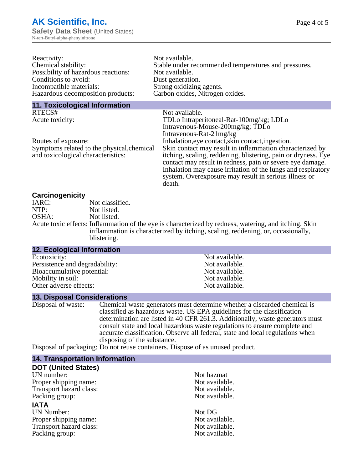| Reactivity:                                | Not available.                                                |
|--------------------------------------------|---------------------------------------------------------------|
| Chemical stability:                        | Stable under recommended temperatures and pressures.          |
| Possibility of hazardous reactions:        | Not available.                                                |
| Conditions to avoid:                       | Dust generation.                                              |
| Incompatible materials:                    | Strong oxidizing agents.                                      |
| Hazardous decomposition products:          | Carbon oxides, Nitrogen oxides.                               |
| <b>11. Toxicological Information</b>       |                                                               |
| RTECS#                                     | Not available.                                                |
| Acute toxicity:                            | TDLo Intraperitoneal-Rat-100mg/kg; LDLo                       |
|                                            | Intravenous-Mouse-200mg/kg; TDLo                              |
|                                            | Intravenous-Rat-21mg/kg                                       |
| Routes of exposure:                        | Inhalation, eye contact, skin contact, ingestion.             |
| Symptoms related to the physical, chemical | Skin contact may result in inflammation characterized by      |
| and toxicological characteristics:         | itching, scaling, reddening, blistering, pain or dryness. Eye |

contact may result in redness, pain or severe eye damage. Inhalation may cause irritation of the lungs and respiratory system. Overexposure may result in serious illness or

**Carcinogenicity**

| IARC: | Not classified.                                                                                       |
|-------|-------------------------------------------------------------------------------------------------------|
| NTP:  | Not listed.                                                                                           |
| OSHA: | Not listed.                                                                                           |
|       | Acute toxic effects: Inflammation of the eye is characterized by redness, watering, and itching. Skin |
|       | inflammation is characterized by itching, scaling, reddening, or, occasionally,                       |
|       | blistering.                                                                                           |

death.

#### **12. Ecological Information**

| Ecotoxicity:                   |
|--------------------------------|
| Persistence and degradability: |
| Bioaccumulative potential:     |
| Mobility in soil:              |
| Other adverse effects:         |
|                                |

#### **13. Disposal Considerations**

Disposal of waste: Chemical waste generators must determine whether a discarded chemical is classified as hazardous waste. US EPA guidelines for the classification determination are listed in 40 CFR 261.3. Additionally, waste generators must consult state and local hazardous waste regulations to ensure complete and accurate classification. Observe all federal, state and local regulations when disposing of the substance.

Disposal of packaging: Do not reuse containers. Dispose of as unused product.

#### **14. Transportation Information**

#### **DOT (United States)**

UN number:<br>
Proper shipping name:<br>
Not available. Proper shipping name:<br>
Transport hazard class:<br>
Not available. Transport hazard class: Packing group: Not available.

#### **IATA**

UN Number: Not DG Proper shipping name:<br>
Transport hazard class:<br>
Not available. Transport hazard class:<br>
Packing group: Not available.<br>
Not available. Packing group:

Not available. Not available. Not available. Not available. Not available.